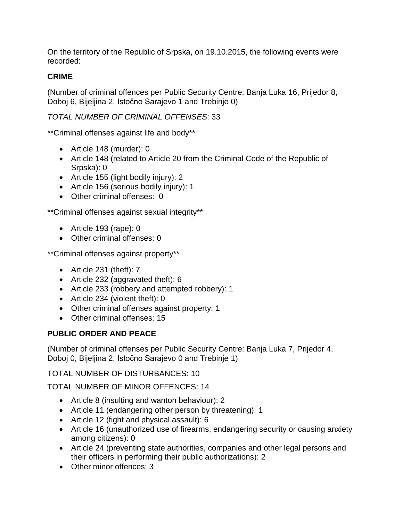On the territory of the Republic of Srpska, on 19.10.2015, the following events were recorded:

# **CRIME**

(Number of criminal offences per Public Security Centre: Banja Luka 16, Prijedor 8, Doboj 6, Bijeljina 2, Istočno Sarajevo 1 and Trebinje 0)

# *TOTAL NUMBER OF CRIMINAL OFFENSES*: 33

\*\*Criminal offenses against life and body\*\*

- Article 148 (murder): 0
- Article 148 (related to Article 20 from the Criminal Code of the Republic of Srpska): 0
- Article 155 (light bodily injury): 2
- Article 156 (serious bodily injury): 1
- Other criminal offenses: 0

\*\*Criminal offenses against sexual integrity\*\*

- Article 193 (rape): 0
- Other criminal offenses: 0

\*\*Criminal offenses against property\*\*

- Article 231 (theft): 7
- Article 232 (aggravated theft): 6
- Article 233 (robbery and attempted robbery): 1
- Article 234 (violent theft): 0
- Other criminal offenses against property: 1
- Other criminal offenses: 15

# **PUBLIC ORDER AND PEACE**

(Number of criminal offenses per Public Security Centre: Banja Luka 7, Prijedor 4, Doboj 0, Bijeljina 2, Istočno Sarajevo 0 and Trebinje 1)

TOTAL NUMBER OF DISTURBANCES: 10

TOTAL NUMBER OF MINOR OFFENCES: 14

- Article 8 (insulting and wanton behaviour): 2
- Article 11 (endangering other person by threatening): 1
- Article 12 (fight and physical assault): 6
- Article 16 (unauthorized use of firearms, endangering security or causing anxiety among citizens): 0
- Article 24 (preventing state authorities, companies and other legal persons and their officers in performing their public authorizations): 2
- Other minor offences: 3